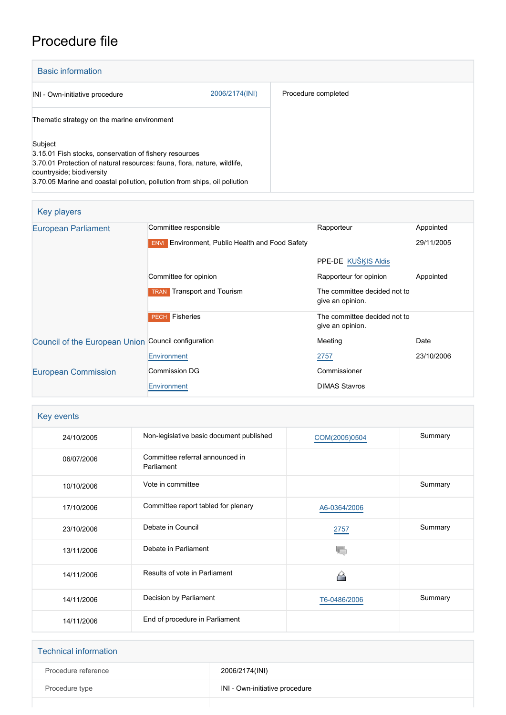# Procedure file

| <b>Basic information</b>                                                                                                                                                                                                                                |                |                     |
|---------------------------------------------------------------------------------------------------------------------------------------------------------------------------------------------------------------------------------------------------------|----------------|---------------------|
| INI - Own-initiative procedure                                                                                                                                                                                                                          | 2006/2174(INI) | Procedure completed |
| Thematic strategy on the marine environment                                                                                                                                                                                                             |                |                     |
| Subject<br>3.15.01 Fish stocks, conservation of fishery resources<br>3.70.01 Protection of natural resources: fauna, flora, nature, wildlife,<br>countryside; biodiversity<br>3.70.05 Marine and coastal pollution, pollution from ships, oil pollution |                |                     |

### Key players

| <b>European Parliament</b>                          | Committee responsible                                  | Rapporteur                                       | Appointed  |
|-----------------------------------------------------|--------------------------------------------------------|--------------------------------------------------|------------|
|                                                     | <b>ENVI</b> Environment, Public Health and Food Safety |                                                  | 29/11/2005 |
|                                                     |                                                        | PPE-DE KUŠĶIS Aldis                              |            |
|                                                     | Committee for opinion                                  | Rapporteur for opinion                           | Appointed  |
|                                                     | <b>Transport and Tourism</b><br><b>TRAN</b>            | The committee decided not to<br>give an opinion. |            |
|                                                     | Fisheries<br><b>PECH</b>                               | The committee decided not to<br>give an opinion. |            |
| Council of the European Union Council configuration |                                                        | Meeting                                          | Date       |
|                                                     | Environment                                            | 2757                                             | 23/10/2006 |
| <b>European Commission</b>                          | Commission DG                                          | Commissioner                                     |            |
|                                                     | Environment                                            | <b>DIMAS Stavros</b>                             |            |

## Key events

| 24/10/2005 | Non-legislative basic document published      | COM(2005)0504 | Summary |
|------------|-----------------------------------------------|---------------|---------|
| 06/07/2006 | Committee referral announced in<br>Parliament |               |         |
| 10/10/2006 | Vote in committee                             |               | Summary |
| 17/10/2006 | Committee report tabled for plenary           | A6-0364/2006  |         |
| 23/10/2006 | Debate in Council                             | 2757          | Summary |
| 13/11/2006 | Debate in Parliament                          | YC,           |         |
| 14/11/2006 | Results of vote in Parliament                 | کے            |         |
| 14/11/2006 | Decision by Parliament                        | T6-0486/2006  | Summary |
| 14/11/2006 | End of procedure in Parliament                |               |         |

| <b>Technical information</b> |                                |
|------------------------------|--------------------------------|
| Procedure reference          | 2006/2174(INI)                 |
| Procedure type               | INI - Own-initiative procedure |
|                              |                                |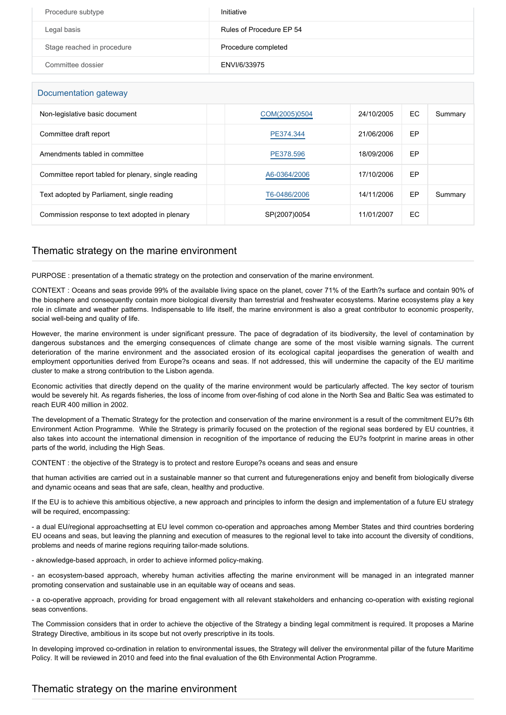| Procedure subtype          | Initiative               |
|----------------------------|--------------------------|
| Legal basis                | Rules of Procedure EP 54 |
| Stage reached in procedure | Procedure completed      |
| Committee dossier          | ENVI/6/33975             |

#### Documentation gateway

| Non-legislative basic document                      | COM(2005)0504 | 24/10/2005 | EC | Summary |
|-----------------------------------------------------|---------------|------------|----|---------|
| Committee draft report                              | PE374.344     | 21/06/2006 | EP |         |
| Amendments tabled in committee                      | PE378.596     | 18/09/2006 | EP |         |
| Committee report tabled for plenary, single reading | A6-0364/2006  | 17/10/2006 | EP |         |
| Text adopted by Parliament, single reading          | T6-0486/2006  | 14/11/2006 | EP | Summary |
| Commission response to text adopted in plenary      | SP(2007)0054  | 11/01/2007 | EC |         |

#### Thematic strategy on the marine environment

PURPOSE : presentation of a thematic strategy on the protection and conservation of the marine environment.

CONTEXT : Oceans and seas provide 99% of the available living space on the planet, cover 71% of the Earth?s surface and contain 90% of the biosphere and consequently contain more biological diversity than terrestrial and freshwater ecosystems. Marine ecosystems play a key role in climate and weather patterns. Indispensable to life itself, the marine environment is also a great contributor to economic prosperity, social well-being and quality of life.

However, the marine environment is under significant pressure. The pace of degradation of its biodiversity, the level of contamination by dangerous substances and the emerging consequences of climate change are some of the most visible warning signals. The current deterioration of the marine environment and the associated erosion of its ecological capital jeopardises the generation of wealth and employment opportunities derived from Europe?s oceans and seas. If not addressed, this will undermine the capacity of the EU maritime cluster to make a strong contribution to the Lisbon agenda.

Economic activities that directly depend on the quality of the marine environment would be particularly affected. The key sector of tourism would be severely hit. As regards fisheries, the loss of income from over-fishing of cod alone in the North Sea and Baltic Sea was estimated to reach EUR 400 million in 2002.

The development of a Thematic Strategy for the protection and conservation of the marine environment is a result of the commitment EU?s 6th Environment Action Programme. While the Strategy is primarily focused on the protection of the regional seas bordered by EU countries, it also takes into account the international dimension in recognition of the importance of reducing the EU?s footprint in marine areas in other parts of the world, including the High Seas.

CONTENT : the objective of the Strategy is to protect and restore Europe?s oceans and seas and ensure

that human activities are carried out in a sustainable manner so that current and futuregenerations enjoy and benefit from biologically diverse and dynamic oceans and seas that are safe, clean, healthy and productive.

If the EU is to achieve this ambitious objective, a new approach and principles to inform the design and implementation of a future EU strategy will be required, encompassing:

- a dual EU/regional approachsetting at EU level common co-operation and approaches among Member States and third countries bordering EU oceans and seas, but leaving the planning and execution of measures to the regional level to take into account the diversity of conditions, problems and needs of marine regions requiring tailor-made solutions.

- aknowledge-based approach, in order to achieve informed policy-making.

- an ecosystem-based approach, whereby human activities affecting the marine environment will be managed in an integrated manner promoting conservation and sustainable use in an equitable way of oceans and seas.

- a co-operative approach, providing for broad engagement with all relevant stakeholders and enhancing co-operation with existing regional seas conventions.

The Commission considers that in order to achieve the objective of the Strategy a binding legal commitment is required. It proposes a Marine Strategy Directive, ambitious in its scope but not overly prescriptive in its tools.

In developing improved co-ordination in relation to environmental issues, the Strategy will deliver the environmental pillar of the future Maritime Policy. It will be reviewed in 2010 and feed into the final evaluation of the 6th Environmental Action Programme.

#### Thematic strategy on the marine environment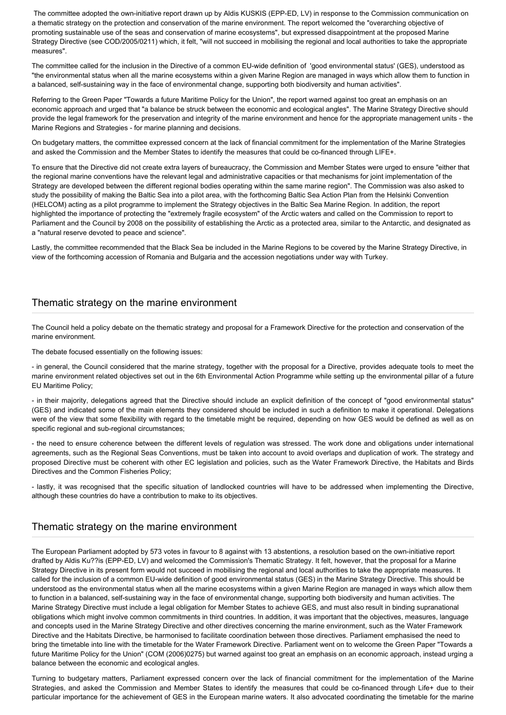The committee adopted the own-initiative report drawn up by Aldis KUSKIS (EPP-ED, LV) in response to the Commission communication on a thematic strategy on the protection and conservation of the marine environment. The report welcomed the "overarching objective of promoting sustainable use of the seas and conservation of marine ecosystems", but expressed disappointment at the proposed Marine Strategy Directive (see COD/2005/0211) which, it felt, "will not succeed in mobilising the regional and local authorities to take the appropriate measures".

The committee called for the inclusion in the Directive of a common EU-wide definition of 'good environmental status' (GES), understood as "the environmental status when all the marine ecosystems within a given Marine Region are managed in ways which allow them to function in a balanced, self-sustaining way in the face of environmental change, supporting both biodiversity and human activities".

Referring to the Green Paper "Towards a future Maritime Policy for the Union", the report warned against too great an emphasis on an economic approach and urged that "a balance be struck between the economic and ecological angles". The Marine Strategy Directive should provide the legal framework for the preservation and integrity of the marine environment and hence for the appropriate management units - the Marine Regions and Strategies - for marine planning and decisions.

On budgetary matters, the committee expressed concern at the lack of financial commitment for the implementation of the Marine Strategies and asked the Commission and the Member States to identify the measures that could be co-financed through LIFE+.

To ensure that the Directive did not create extra layers of bureaucracy, the Commission and Member States were urged to ensure "either that the regional marine conventions have the relevant legal and administrative capacities or that mechanisms for joint implementation of the Strategy are developed between the different regional bodies operating within the same marine region". The Commission was also asked to study the possibility of making the Baltic Sea into a pilot area, with the forthcoming Baltic Sea Action Plan from the Helsinki Convention (HELCOM) acting as a pilot programme to implement the Strategy objectives in the Baltic Sea Marine Region. In addition, the report highlighted the importance of protecting the "extremely fragile ecosystem" of the Arctic waters and called on the Commission to report to Parliament and the Council by 2008 on the possibility of establishing the Arctic as a protected area, similar to the Antarctic, and designated as a "natural reserve devoted to peace and science".

Lastly, the committee recommended that the Black Sea be included in the Marine Regions to be covered by the Marine Strategy Directive, in view of the forthcoming accession of Romania and Bulgaria and the accession negotiations under way with Turkey.

### Thematic strategy on the marine environment

The Council held a policy debate on the thematic strategy and proposal for a Framework Directive for the protection and conservation of the marine environment.

The debate focused essentially on the following issues:

- in general, the Council considered that the marine strategy, together with the proposal for a Directive, provides adequate tools to meet the marine environment related objectives set out in the 6th Environmental Action Programme while setting up the environmental pillar of a future EU Maritime Policy;

- in their majority, delegations agreed that the Directive should include an explicit definition of the concept of "good environmental status" (GES) and indicated some of the main elements they considered should be included in such a definition to make it operational. Delegations were of the view that some flexibility with regard to the timetable might be required, depending on how GES would be defined as well as on specific regional and sub-regional circumstances;

- the need to ensure coherence between the different levels of regulation was stressed. The work done and obligations under international agreements, such as the Regional Seas Conventions, must be taken into account to avoid overlaps and duplication of work. The strategy and proposed Directive must be coherent with other EC legislation and policies, such as the Water Framework Directive, the Habitats and Birds Directives and the Common Fisheries Policy;

- lastly, it was recognised that the specific situation of landlocked countries will have to be addressed when implementing the Directive, although these countries do have a contribution to make to its objectives.

#### Thematic strategy on the marine environment

The European Parliament adopted by 573 votes in favour to 8 against with 13 abstentions, a resolution based on the own-initiative report drafted by Aldis Ku??is (EPP-ED, LV) and welcomed the Commission's Thematic Strategy. It felt, however, that the proposal for a Marine Strategy Directive in its present form would not succeed in mobilising the regional and local authorities to take the appropriate measures. It called for the inclusion of a common EU-wide definition of good environmental status (GES) in the Marine Strategy Directive. This should be understood as the environmental status when all the marine ecosystems within a given Marine Region are managed in ways which allow them to function in a balanced, self-sustaining way in the face of environmental change, supporting both biodiversity and human activities. The Marine Strategy Directive must include a legal obligation for Member States to achieve GES, and must also result in binding supranational obligations which might involve common commitments in third countries. In addition, it was important that the objectives, measures, language and concepts used in the Marine Strategy Directive and other directives concerning the marine environment, such as the Water Framework Directive and the Habitats Directive, be harmonised to facilitate coordination between those directives. Parliament emphasised the need to bring the timetable into line with the timetable for the Water Framework Directive. Parliament went on to welcome the Green Paper "Towards a future Maritime Policy for the Union" (COM (2006)0275) but warned against too great an emphasis on an economic approach, instead urging a balance between the economic and ecological angles.

Turning to budgetary matters, Parliament expressed concern over the lack of financial commitment for the implementation of the Marine Strategies, and asked the Commission and Member States to identify the measures that could be co-financed through Life+ due to their particular importance for the achievement of GES in the European marine waters. It also advocated coordinating the timetable for the marine